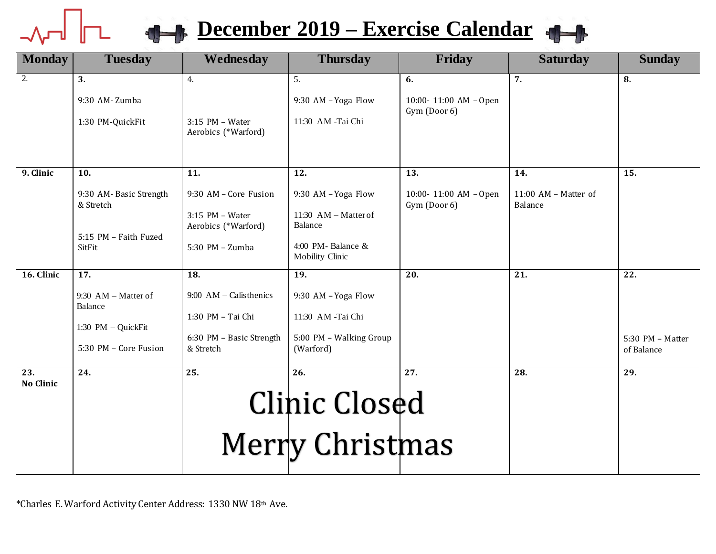## **10 1 December** 2019 – **Exercise Calendar**



| <b>Monday</b>           | <b>Tuesday</b>                      | Wednesday                                | <b>Thursday</b>                      | Friday                                | <b>Saturday</b>                 | <b>Sunday</b>                  |
|-------------------------|-------------------------------------|------------------------------------------|--------------------------------------|---------------------------------------|---------------------------------|--------------------------------|
| $\overline{2}$ .        | 3.                                  | 4.                                       | 5.                                   | 6.                                    | 7.                              | 8.                             |
|                         | 9:30 AM-Zumba                       |                                          | 9:30 AM - Yoga Flow                  | 10:00-11:00 AM - Open                 |                                 |                                |
|                         | 1:30 PM-QuickFit                    | $3:15$ PM - Water<br>Aerobics (*Warford) | 11:30 AM -Tai Chi                    | Gym (Door 6)                          |                                 |                                |
| 9. Clinic               | 10.                                 | 11.                                      | 12.                                  | 13.                                   | 14.                             | 15.                            |
|                         | 9:30 AM-Basic Strength<br>& Stretch | 9:30 AM - Core Fusion                    | 9:30 AM - Yoga Flow                  | 10:00-11:00 AM - Open<br>Gym (Door 6) | 11:00 AM - Matter of<br>Balance |                                |
|                         |                                     | $3:15$ PM - Water<br>Aerobics (*Warford) | 11:30 AM $-$ Matter of<br>Balance    |                                       |                                 |                                |
|                         | 5:15 PM - Faith Fuzed<br>SitFit     | 5:30 PM - Zumba                          | 4:00 PM-Balance &<br>Mobility Clinic |                                       |                                 |                                |
| 16. Clinic              | $\overline{17}$ .                   | 18.                                      | 19.                                  | 20.                                   | 21.                             | 22.                            |
|                         | $9:30$ AM – Matter of<br>Balance    | $9:00$ AM – Calisthenics                 | 9:30 AM - Yoga Flow                  |                                       |                                 |                                |
|                         | 1:30 PM - QuickFit                  | 1:30 PM - Tai Chi                        | 11:30 AM -Tai Chi                    |                                       |                                 |                                |
|                         | 5:30 PM - Core Fusion               | 6:30 PM - Basic Strength<br>& Stretch    | 5:00 PM - Walking Group<br>(Warford) |                                       |                                 | 5:30 PM - Matter<br>of Balance |
| 23.<br><b>No Clinic</b> | 24.                                 | 25.                                      | 26.                                  | 27.                                   | 28.                             | 29.                            |
|                         |                                     |                                          | <b>Clinic Closed</b>                 |                                       |                                 |                                |
|                         |                                     |                                          | Merry Christmas                      |                                       |                                 |                                |

\*Charles E. Warford Activity Center Address: 1330 NW 18th Ave.